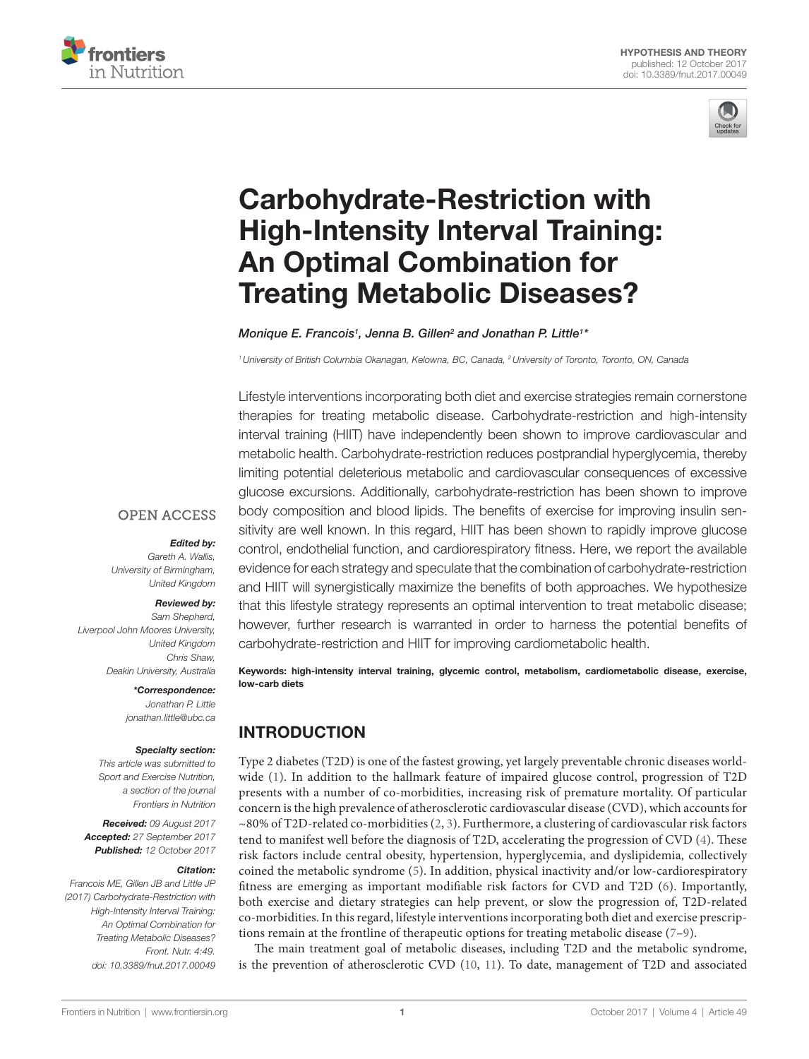



# [Carbohydrate-Restriction with](http://www.frontiersin.org/Journal/10.3389/fnut.2017.00049/abstract)  [High-Intensity Interval Training:](http://www.frontiersin.org/Journal/10.3389/fnut.2017.00049/abstract)  [An Optimal Combination for](http://www.frontiersin.org/Journal/10.3389/fnut.2017.00049/abstract)  [Treating Metabolic Diseases?](http://www.frontiersin.org/Journal/10.3389/fnut.2017.00049/abstract)

[Monique E. Francois](http://loop.frontiersin.org/people/439504)<sup>1</sup>, Jenna B. Gillen<sup>2</sup> and Jonathan P. Little<sup>1\*</sup>

*1University of British Columbia Okanagan, Kelowna, BC, Canada, 2University of Toronto, Toronto, ON, Canada*

Lifestyle interventions incorporating both diet and exercise strategies remain cornerstone therapies for treating metabolic disease. Carbohydrate-restriction and high-intensity interval training (HIIT) have independently been shown to improve cardiovascular and metabolic health. Carbohydrate-restriction reduces postprandial hyperglycemia, thereby limiting potential deleterious metabolic and cardiovascular consequences of excessive glucose excursions. Additionally, carbohydrate-restriction has been shown to improve body composition and blood lipids. The benefits of exercise for improving insulin sensitivity are well known. In this regard, HIIT has been shown to rapidly improve glucose control, endothelial function, and cardiorespiratory fitness. Here, we report the available evidence for each strategy and speculate that the combination of carbohydrate-restriction and HIIT will synergistically maximize the benefits of both approaches. We hypothesize that this lifestyle strategy represents an optimal intervention to treat metabolic disease; however, further research is warranted in order to harness the potential benefits of carbohydrate-restriction and HIIT for improving cardiometabolic health.

Keywords: high-intensity interval training, glycemic control, metabolism, cardiometabolic disease, exercise, low-carb diets

### INTRODUCTION

Type 2 diabetes (T2D) is one of the fastest growing, yet largely preventable chronic diseases worldwide ([1\)](#page-6-0). In addition to the hallmark feature of impaired glucose control, progression of T2D presents with a number of co-morbidities, increasing risk of premature mortality. Of particular concern is the high prevalence of atherosclerotic cardiovascular disease (CVD), which accounts for  $\sim$ 80% of T2D-related co-morbidities [\(2,](#page-6-1) [3](#page-6-2)). Furthermore, a clustering of cardiovascular risk factors tend to manifest well before the diagnosis of T2D, accelerating the progression of CVD [\(4](#page-6-3)). These risk factors include central obesity, hypertension, hyperglycemia, and dyslipidemia, collectively coined the metabolic syndrome ([5\)](#page-6-4). In addition, physical inactivity and/or low-cardiorespiratory fitness are emerging as important modifiable risk factors for CVD and T2D ([6\)](#page-6-5). Importantly, both exercise and dietary strategies can help prevent, or slow the progression of, T2D-related co-morbidities. In this regard, lifestyle interventions incorporating both diet and exercise prescriptions remain at the frontline of therapeutic options for treating metabolic disease [\(7–](#page-6-6)[9\)](#page-6-7).

The main treatment goal of metabolic diseases, including T2D and the metabolic syndrome, is the prevention of atherosclerotic CVD [\(10](#page-6-8), [11\)](#page-6-9). To date, management of T2D and associated

#### **OPEN ACCESS**

#### *Edited by:*

*Gareth A. Wallis, University of Birmingham, United Kingdom*

#### *Reviewed by:*

*Sam Shepherd, Liverpool John Moores University, United Kingdom Chris Shaw, Deakin University, Australia*

#### *\*Correspondence:*

*Jonathan P. Little [jonathan.little@ubc.ca](mailto:jonathan.little@ubc.ca)*

#### *Specialty section:*

*This article was submitted to Sport and Exercise Nutrition, a section of the journal Frontiers in Nutrition*

*Received: 09 August 2017 Accepted: 27 September 2017 Published: 12 October 2017*

#### *Citation:*

*Francois ME, Gillen JB and Little JP (2017) Carbohydrate-Restriction with High-Intensity Interval Training: An Optimal Combination for Treating Metabolic Diseases? Front. Nutr. 4:49. doi: [10.3389/fnut.2017.00049](https://doi.org/10.3389/fnut.2017.00049)*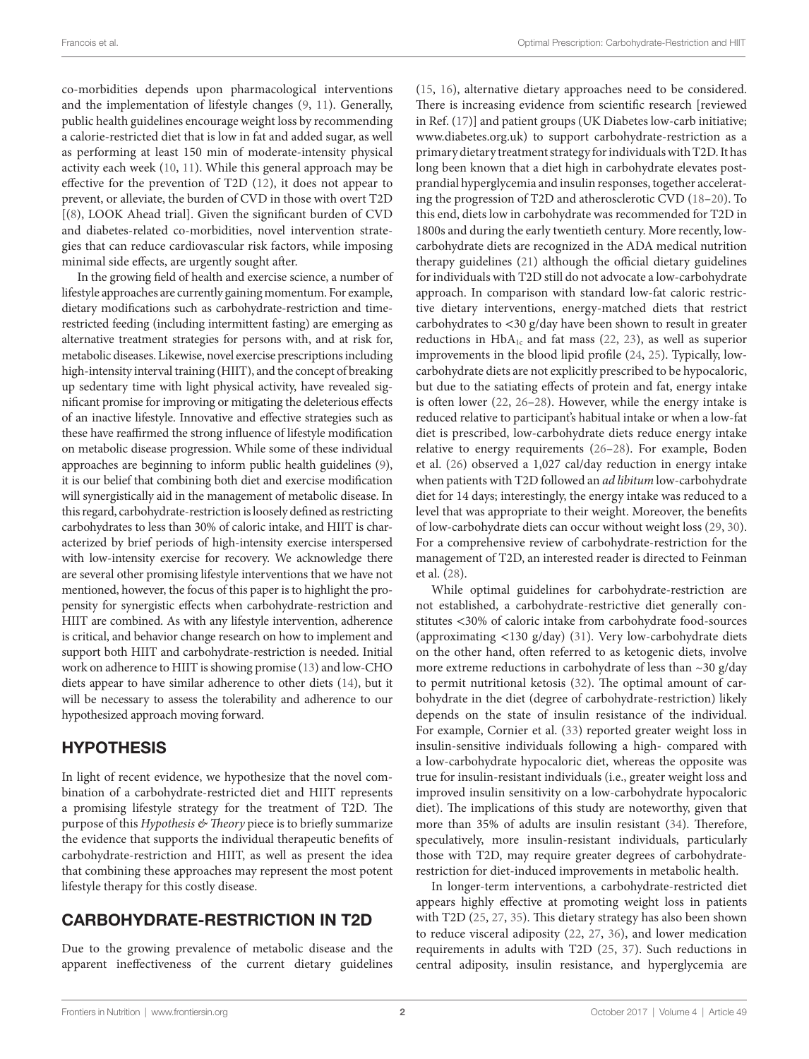co-morbidities depends upon pharmacological interventions and the implementation of lifestyle changes ([9](#page-6-7), [11\)](#page-6-9). Generally, public health guidelines encourage weight loss by recommending a calorie-restricted diet that is low in fat and added sugar, as well as performing at least 150 min of moderate-intensity physical activity each week [\(10,](#page-6-8) [11](#page-6-9)). While this general approach may be effective for the prevention of T2D [\(12](#page-6-10)), it does not appear to prevent, or alleviate, the burden of CVD in those with overt T2D [([8](#page-6-11)), LOOK Ahead trial]. Given the significant burden of CVD and diabetes-related co-morbidities, novel intervention strategies that can reduce cardiovascular risk factors, while imposing minimal side effects, are urgently sought after.

In the growing field of health and exercise science, a number of lifestyle approaches are currently gaining momentum. For example, dietary modifications such as carbohydrate-restriction and timerestricted feeding (including intermittent fasting) are emerging as alternative treatment strategies for persons with, and at risk for, metabolic diseases. Likewise, novel exercise prescriptions including high-intensity interval training (HIIT), and the concept of breaking up sedentary time with light physical activity, have revealed significant promise for improving or mitigating the deleterious effects of an inactive lifestyle. Innovative and effective strategies such as these have reaffirmed the strong influence of lifestyle modification on metabolic disease progression. While some of these individual approaches are beginning to inform public health guidelines [\(9\)](#page-6-7), it is our belief that combining both diet and exercise modification will synergistically aid in the management of metabolic disease. In this regard, carbohydrate-restriction is loosely defined as restricting carbohydrates to less than 30% of caloric intake, and HIIT is characterized by brief periods of high-intensity exercise interspersed with low-intensity exercise for recovery. We acknowledge there are several other promising lifestyle interventions that we have not mentioned, however, the focus of this paper is to highlight the propensity for synergistic effects when carbohydrate-restriction and HIIT are combined. As with any lifestyle intervention, adherence is critical, and behavior change research on how to implement and support both HIIT and carbohydrate-restriction is needed. Initial work on adherence to HIIT is showing promise ([13\)](#page-6-12) and low-CHO diets appear to have similar adherence to other diets [\(14](#page-6-13)), but it will be necessary to assess the tolerability and adherence to our hypothesized approach moving forward.

#### HYPOTHESIS

In light of recent evidence, we hypothesize that the novel combination of a carbohydrate-restricted diet and HIIT represents a promising lifestyle strategy for the treatment of T2D. The purpose of this *Hypothesis & Theory* piece is to briefly summarize the evidence that supports the individual therapeutic benefits of carbohydrate-restriction and HIIT, as well as present the idea that combining these approaches may represent the most potent lifestyle therapy for this costly disease.

#### CARBOHYDRATE-RESTRICTION IN T2D

Due to the growing prevalence of metabolic disease and the apparent ineffectiveness of the current dietary guidelines [\(15,](#page-6-14) [16](#page-6-15)), alternative dietary approaches need to be considered. There is increasing evidence from scientific research [reviewed in Ref. ([17\)](#page-6-16)] and patient groups (UK Diabetes low-carb initiative; [www.diabetes.org.uk](http://www.diabetes.org.uk)) to support carbohydrate-restriction as a primary dietary treatment strategy for individuals with T2D. It has long been known that a diet high in carbohydrate elevates postprandial hyperglycemia and insulin responses, together accelerating the progression of T2D and atherosclerotic CVD [\(18–](#page-6-17)[20\)](#page-6-18). To this end, diets low in carbohydrate was recommended for T2D in 1800s and during the early twentieth century. More recently, lowcarbohydrate diets are recognized in the ADA medical nutrition therapy guidelines ([21\)](#page-6-19) although the official dietary guidelines for individuals with T2D still do not advocate a low-carbohydrate approach. In comparison with standard low-fat caloric restrictive dietary interventions, energy-matched diets that restrict carbohydrates to <30 g/day have been shown to result in greater reductions in  $HbA_{1c}$  and fat mass ([22,](#page-6-20) [23](#page-6-21)), as well as superior improvements in the blood lipid profile [\(24,](#page-6-22) [25](#page-6-23)). Typically, lowcarbohydrate diets are not explicitly prescribed to be hypocaloric, but due to the satiating effects of protein and fat, energy intake is often lower [\(22](#page-6-20), [26](#page-6-24)[–28\)](#page-6-25). However, while the energy intake is reduced relative to participant's habitual intake or when a low-fat diet is prescribed, low-carbohydrate diets reduce energy intake relative to energy requirements [\(26](#page-6-24)[–28](#page-6-25)). For example, Boden et al. ([26\)](#page-6-24) observed a 1,027 cal/day reduction in energy intake when patients with T2D followed an *ad libitum* low-carbohydrate diet for 14 days; interestingly, the energy intake was reduced to a level that was appropriate to their weight. Moreover, the benefits of low-carbohydrate diets can occur without weight loss [\(29](#page-6-26), [30](#page-6-27)). For a comprehensive review of carbohydrate-restriction for the management of T2D, an interested reader is directed to Feinman et al. [\(28\)](#page-6-25).

While optimal guidelines for carbohydrate-restriction are not established, a carbohydrate-restrictive diet generally constitutes <30% of caloric intake from carbohydrate food-sources (approximating <130 g/day) ([31\)](#page-6-28). Very low-carbohydrate diets on the other hand, often referred to as ketogenic diets, involve more extreme reductions in carbohydrate of less than ~30 g/day to permit nutritional ketosis [\(32](#page-6-29)). The optimal amount of carbohydrate in the diet (degree of carbohydrate-restriction) likely depends on the state of insulin resistance of the individual. For example, Cornier et al. ([33\)](#page-6-30) reported greater weight loss in insulin-sensitive individuals following a high- compared with a low-carbohydrate hypocaloric diet, whereas the opposite was true for insulin-resistant individuals (i.e., greater weight loss and improved insulin sensitivity on a low-carbohydrate hypocaloric diet). The implications of this study are noteworthy, given that more than 35% of adults are insulin resistant ([34](#page-6-31)). Therefore, speculatively, more insulin-resistant individuals, particularly those with T2D, may require greater degrees of carbohydraterestriction for diet-induced improvements in metabolic health.

In longer-term interventions, a carbohydrate-restricted diet appears highly effective at promoting weight loss in patients with T2D [\(25,](#page-6-23) [27](#page-6-32), [35\)](#page-6-33). This dietary strategy has also been shown to reduce visceral adiposity ([22,](#page-6-20) [27](#page-6-32), [36\)](#page-6-34), and lower medication requirements in adults with T2D [\(25](#page-6-23), [37](#page-6-35)). Such reductions in central adiposity, insulin resistance, and hyperglycemia are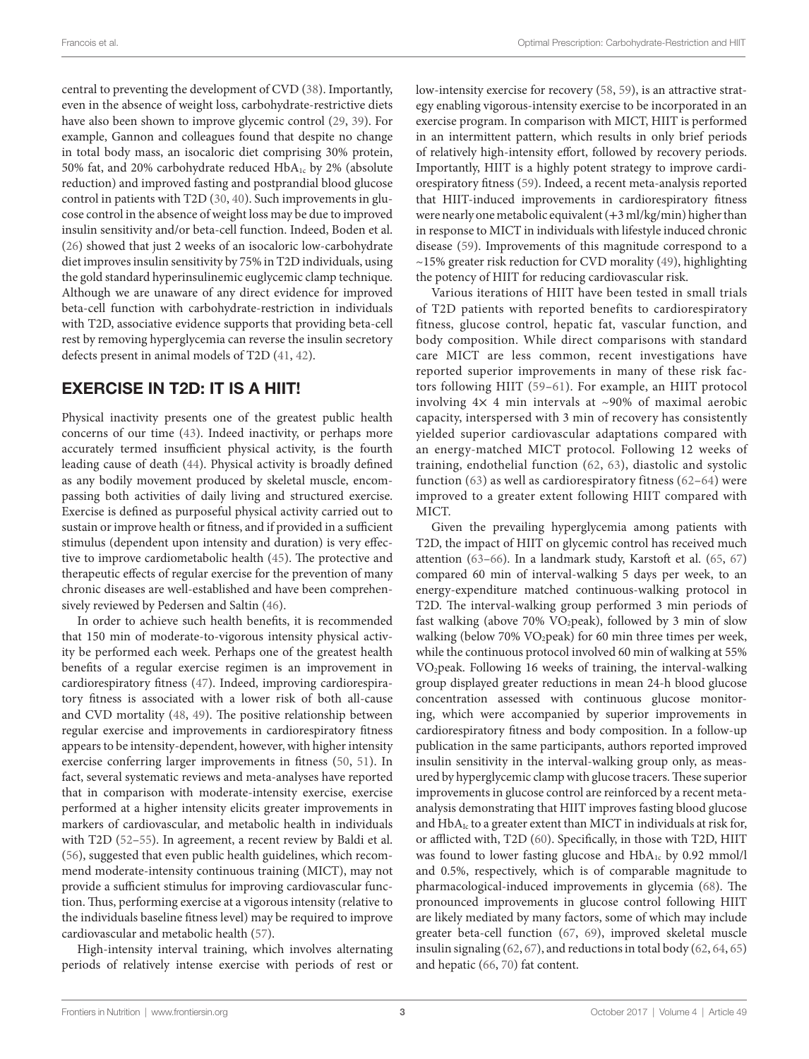central to preventing the development of CVD [\(38](#page-6-36)). Importantly, even in the absence of weight loss, carbohydrate-restrictive diets have also been shown to improve glycemic control ([29](#page-6-26), [39\)](#page-7-0). For example, Gannon and colleagues found that despite no change in total body mass, an isocaloric diet comprising 30% protein, 50% fat, and 20% carbohydrate reduced  $HbA_{1c}$  by 2% (absolute reduction) and improved fasting and postprandial blood glucose control in patients with T2D ([30,](#page-6-27) [40\)](#page-7-1). Such improvements in glucose control in the absence of weight loss may be due to improved insulin sensitivity and/or beta-cell function. Indeed, Boden et al. ([26\)](#page-6-24) showed that just 2 weeks of an isocaloric low-carbohydrate diet improves insulin sensitivity by 75% in T2D individuals, using the gold standard hyperinsulinemic euglycemic clamp technique. Although we are unaware of any direct evidence for improved beta-cell function with carbohydrate-restriction in individuals with T2D, associative evidence supports that providing beta-cell rest by removing hyperglycemia can reverse the insulin secretory defects present in animal models of T2D [\(41](#page-7-2), [42\)](#page-7-3).

#### EXERCISE IN T2D: IT IS A HIIT!

Physical inactivity presents one of the greatest public health concerns of our time [\(43](#page-7-4)). Indeed inactivity, or perhaps more accurately termed insufficient physical activity, is the fourth leading cause of death ([44\)](#page-7-5). Physical activity is broadly defined as any bodily movement produced by skeletal muscle, encompassing both activities of daily living and structured exercise. Exercise is defined as purposeful physical activity carried out to sustain or improve health or fitness, and if provided in a sufficient stimulus (dependent upon intensity and duration) is very effective to improve cardiometabolic health [\(45](#page-7-6)). The protective and therapeutic effects of regular exercise for the prevention of many chronic diseases are well-established and have been comprehensively reviewed by Pedersen and Saltin [\(46](#page-7-7)).

In order to achieve such health benefits, it is recommended that 150 min of moderate-to-vigorous intensity physical activity be performed each week. Perhaps one of the greatest health benefits of a regular exercise regimen is an improvement in cardiorespiratory fitness [\(47](#page-7-8)). Indeed, improving cardiorespiratory fitness is associated with a lower risk of both all-cause and CVD mortality [\(48,](#page-7-9) [49\)](#page-7-10). The positive relationship between regular exercise and improvements in cardiorespiratory fitness appears to be intensity-dependent, however, with higher intensity exercise conferring larger improvements in fitness ([50](#page-7-11), [51\)](#page-7-12). In fact, several systematic reviews and meta-analyses have reported that in comparison with moderate-intensity exercise, exercise performed at a higher intensity elicits greater improvements in markers of cardiovascular, and metabolic health in individuals with T2D [\(52–](#page-7-13)[55\)](#page-7-14). In agreement, a recent review by Baldi et al. ([56\)](#page-7-15), suggested that even public health guidelines, which recommend moderate-intensity continuous training (MICT), may not provide a sufficient stimulus for improving cardiovascular function. Thus, performing exercise at a vigorous intensity (relative to the individuals baseline fitness level) may be required to improve cardiovascular and metabolic health ([57\)](#page-7-16).

High-intensity interval training, which involves alternating periods of relatively intense exercise with periods of rest or low-intensity exercise for recovery ([58](#page-7-17), [59\)](#page-7-18), is an attractive strategy enabling vigorous-intensity exercise to be incorporated in an exercise program. In comparison with MICT, HIIT is performed in an intermittent pattern, which results in only brief periods of relatively high-intensity effort, followed by recovery periods. Importantly, HIIT is a highly potent strategy to improve cardiorespiratory fitness ([59](#page-7-18)). Indeed, a recent meta-analysis reported that HIIT-induced improvements in cardiorespiratory fitness were nearly one metabolic equivalent (+3 ml/kg/min) higher than in response to MICT in individuals with lifestyle induced chronic disease ([59\)](#page-7-18). Improvements of this magnitude correspond to a  $\sim$ 15% greater risk reduction for CVD morality ([49\)](#page-7-10), highlighting the potency of HIIT for reducing cardiovascular risk.

Various iterations of HIIT have been tested in small trials of T2D patients with reported benefits to cardiorespiratory fitness, glucose control, hepatic fat, vascular function, and body composition. While direct comparisons with standard care MICT are less common, recent investigations have reported superior improvements in many of these risk factors following HIIT ([59–](#page-7-18)[61](#page-7-19)). For example, an HIIT protocol involving  $4 \times 4$  min intervals at ~90% of maximal aerobic capacity, interspersed with 3 min of recovery has consistently yielded superior cardiovascular adaptations compared with an energy-matched MICT protocol. Following 12 weeks of training, endothelial function [\(62,](#page-7-20) [63\)](#page-7-21), diastolic and systolic function ([63](#page-7-21)) as well as cardiorespiratory fitness ([62](#page-7-20)[–64\)](#page-7-22) were improved to a greater extent following HIIT compared with MICT.

Given the prevailing hyperglycemia among patients with T2D, the impact of HIIT on glycemic control has received much attention ([63](#page-7-21)–[66](#page-7-23)). In a landmark study, Karstoft et al. ([65](#page-7-24), [67\)](#page-7-25) compared 60 min of interval-walking 5 days per week, to an energy-expenditure matched continuous-walking protocol in T2D. The interval-walking group performed 3 min periods of fast walking (above 70% VO2peak), followed by 3 min of slow walking (below 70% VO<sub>2</sub>peak) for 60 min three times per week, while the continuous protocol involved 60 min of walking at 55% VO2peak. Following 16 weeks of training, the interval-walking group displayed greater reductions in mean 24-h blood glucose concentration assessed with continuous glucose monitoring, which were accompanied by superior improvements in cardiorespiratory fitness and body composition. In a follow-up publication in the same participants, authors reported improved insulin sensitivity in the interval-walking group only, as measured by hyperglycemic clamp with glucose tracers. These superior improvements in glucose control are reinforced by a recent metaanalysis demonstrating that HIIT improves fasting blood glucose and  $HbA_{Ic}$  to a greater extent than MICT in individuals at risk for, or afflicted with, T2D ([60\)](#page-7-26). Specifically, in those with T2D, HIIT was found to lower fasting glucose and HbA<sub>1c</sub> by 0.92 mmol/l and 0.5%, respectively, which is of comparable magnitude to pharmacological-induced improvements in glycemia ([68\)](#page-7-27). The pronounced improvements in glucose control following HIIT are likely mediated by many factors, some of which may include greater beta-cell function [\(67,](#page-7-25) [69](#page-7-28)), improved skeletal muscle insulin signaling [\(62](#page-7-20), [67](#page-7-25)), and reductions in total body ([62,](#page-7-20) [64,](#page-7-22) [65\)](#page-7-24) and hepatic ([66,](#page-7-23) [70](#page-7-29)) fat content.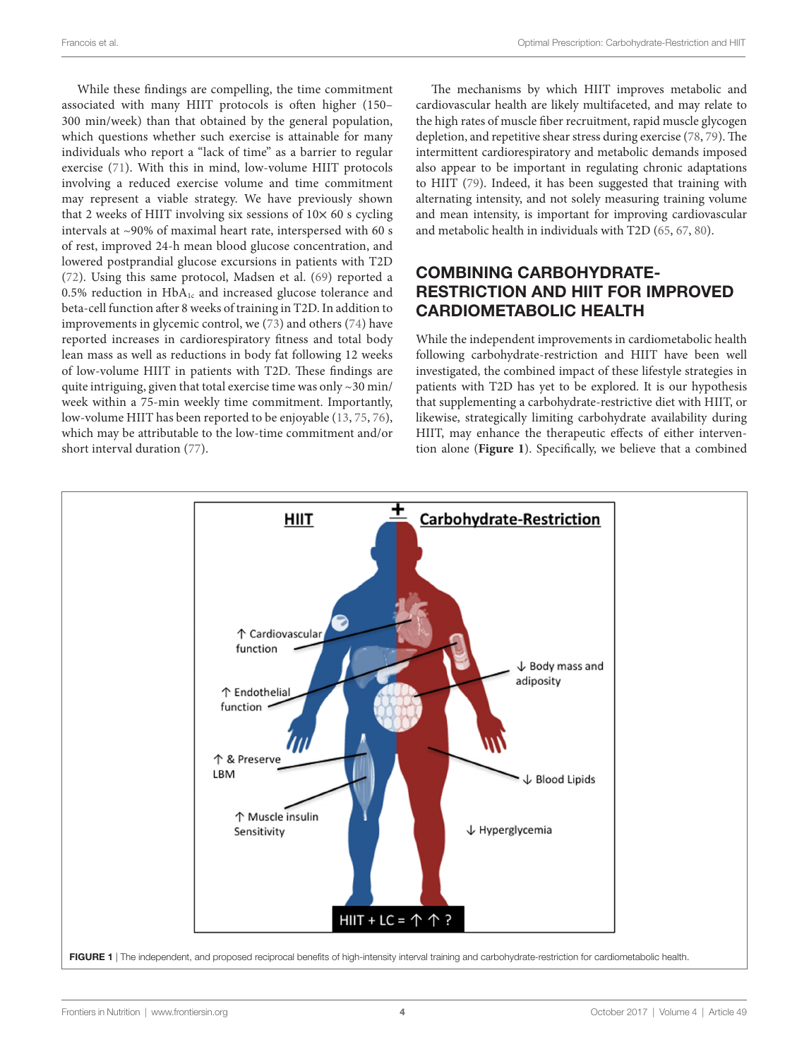While these findings are compelling, the time commitment associated with many HIIT protocols is often higher (150– 300 min/week) than that obtained by the general population, which questions whether such exercise is attainable for many individuals who report a "lack of time" as a barrier to regular exercise ([71](#page-7-30)). With this in mind, low-volume HIIT protocols involving a reduced exercise volume and time commitment may represent a viable strategy. We have previously shown that 2 weeks of HIIT involving six sessions of  $10\times 60$  s cycling intervals at ~90% of maximal heart rate, interspersed with 60 s of rest, improved 24-h mean blood glucose concentration, and lowered postprandial glucose excursions in patients with T2D ([72\)](#page-7-31). Using this same protocol, Madsen et al. [\(69](#page-7-28)) reported a  $0.5\%$  reduction in HbA<sub>1c</sub> and increased glucose tolerance and beta-cell function after 8 weeks of training in T2D. In addition to improvements in glycemic control, we [\(73\)](#page-7-32) and others ([74](#page-7-33)) have reported increases in cardiorespiratory fitness and total body lean mass as well as reductions in body fat following 12 weeks of low-volume HIIT in patients with T2D. These findings are quite intriguing, given that total exercise time was only ~30 min/ week within a 75-min weekly time commitment. Importantly, low-volume HIIT has been reported to be enjoyable ([13,](#page-6-12) [75](#page-7-34), [76\)](#page-8-0), which may be attributable to the low-time commitment and/or short interval duration ([77\)](#page-8-1).

The mechanisms by which HIIT improves metabolic and cardiovascular health are likely multifaceted, and may relate to the high rates of muscle fiber recruitment, rapid muscle glycogen depletion, and repetitive shear stress during exercise [\(78](#page-8-2), [79\)](#page-8-3). The intermittent cardiorespiratory and metabolic demands imposed also appear to be important in regulating chronic adaptations to HIIT ([79\)](#page-8-3). Indeed, it has been suggested that training with alternating intensity, and not solely measuring training volume and mean intensity, is important for improving cardiovascular and metabolic health in individuals with T2D [\(65](#page-7-24), [67,](#page-7-25) [80](#page-8-4)).

#### COMBINING CARBOHYDRATE-RESTRICTION AND HIIT FOR IMPROVED CARDIOMETABOLIC HEALTH

While the independent improvements in cardiometabolic health following carbohydrate-restriction and HIIT have been well investigated, the combined impact of these lifestyle strategies in patients with T2D has yet to be explored. It is our hypothesis that supplementing a carbohydrate-restrictive diet with HIIT, or likewise, strategically limiting carbohydrate availability during HIIT, may enhance the therapeutic effects of either intervention alone (**[Figure 1](#page-3-0)**). Specifically, we believe that a combined

<span id="page-3-0"></span>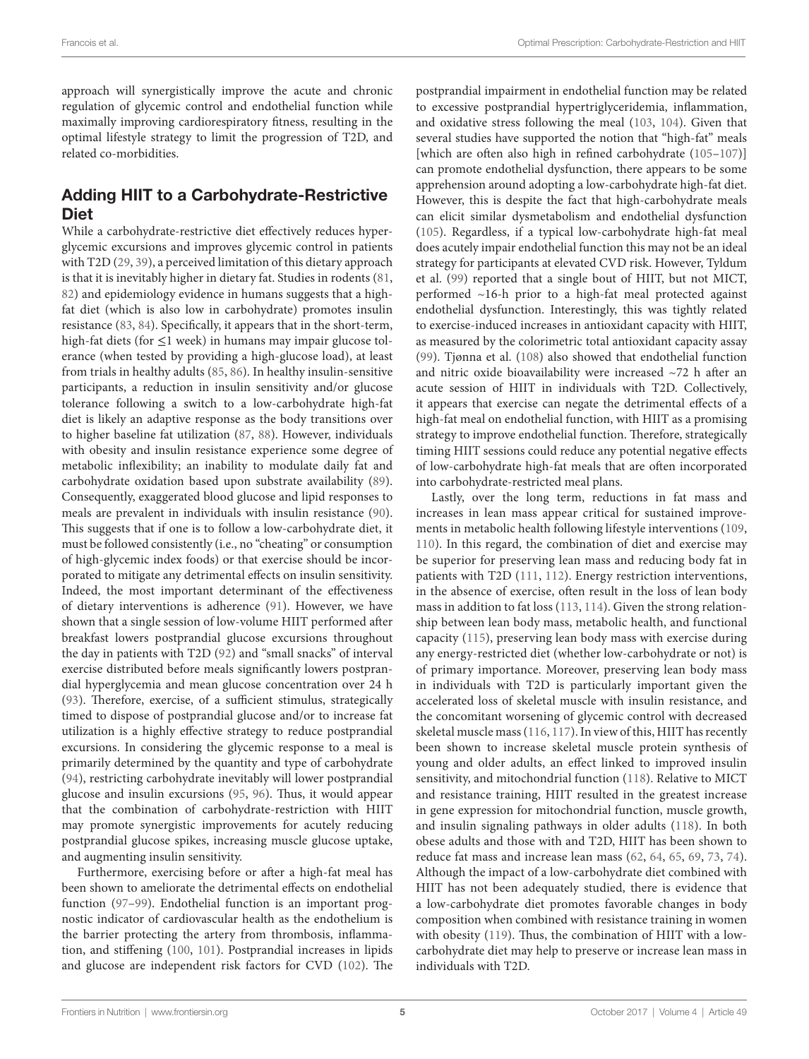approach will synergistically improve the acute and chronic regulation of glycemic control and endothelial function while maximally improving cardiorespiratory fitness, resulting in the optimal lifestyle strategy to limit the progression of T2D, and related co-morbidities.

#### Adding HIIT to a Carbohydrate-Restrictive Diet

While a carbohydrate-restrictive diet effectively reduces hyperglycemic excursions and improves glycemic control in patients with T2D ([29,](#page-6-26) [39\)](#page-7-0), a perceived limitation of this dietary approach is that it is inevitably higher in dietary fat. Studies in rodents ([81,](#page-8-5) [82\)](#page-8-6) and epidemiology evidence in humans suggests that a highfat diet (which is also low in carbohydrate) promotes insulin resistance [\(83](#page-8-7), [84\)](#page-8-8). Specifically, it appears that in the short-term, high-fat diets (for ≤1 week) in humans may impair glucose tolerance (when tested by providing a high-glucose load), at least from trials in healthy adults ([85](#page-8-9), [86\)](#page-8-10). In healthy insulin-sensitive participants, a reduction in insulin sensitivity and/or glucose tolerance following a switch to a low-carbohydrate high-fat diet is likely an adaptive response as the body transitions over to higher baseline fat utilization ([87,](#page-8-11) [88](#page-8-12)). However, individuals with obesity and insulin resistance experience some degree of metabolic inflexibility; an inability to modulate daily fat and carbohydrate oxidation based upon substrate availability [\(89\)](#page-8-13). Consequently, exaggerated blood glucose and lipid responses to meals are prevalent in individuals with insulin resistance [\(90\)](#page-8-14). This suggests that if one is to follow a low-carbohydrate diet, it must be followed consistently (i.e., no "cheating" or consumption of high-glycemic index foods) or that exercise should be incorporated to mitigate any detrimental effects on insulin sensitivity. Indeed, the most important determinant of the effectiveness of dietary interventions is adherence ([91\)](#page-8-15). However, we have shown that a single session of low-volume HIIT performed after breakfast lowers postprandial glucose excursions throughout the day in patients with T2D [\(92](#page-8-16)) and "small snacks" of interval exercise distributed before meals significantly lowers postprandial hyperglycemia and mean glucose concentration over 24 h ([93\)](#page-8-17). Therefore, exercise, of a sufficient stimulus, strategically timed to dispose of postprandial glucose and/or to increase fat utilization is a highly effective strategy to reduce postprandial excursions. In considering the glycemic response to a meal is primarily determined by the quantity and type of carbohydrate ([94\)](#page-8-18), restricting carbohydrate inevitably will lower postprandial glucose and insulin excursions [\(95,](#page-8-19) [96](#page-8-20)). Thus, it would appear that the combination of carbohydrate-restriction with HIIT may promote synergistic improvements for acutely reducing postprandial glucose spikes, increasing muscle glucose uptake, and augmenting insulin sensitivity.

Furthermore, exercising before or after a high-fat meal has been shown to ameliorate the detrimental effects on endothelial function [\(97](#page-8-21)[–99\)](#page-8-22). Endothelial function is an important prognostic indicator of cardiovascular health as the endothelium is the barrier protecting the artery from thrombosis, inflammation, and stiffening [\(100,](#page-8-23) [101](#page-8-24)). Postprandial increases in lipids and glucose are independent risk factors for CVD ([102\)](#page-8-25). The

postprandial impairment in endothelial function may be related to excessive postprandial hypertriglyceridemia, inflammation, and oxidative stress following the meal ([103](#page-8-26), [104\)](#page-8-27). Given that several studies have supported the notion that "high-fat" meals [which are often also high in refined carbohydrate (105-[107](#page-8-29))] can promote endothelial dysfunction, there appears to be some apprehension around adopting a low-carbohydrate high-fat diet. However, this is despite the fact that high-carbohydrate meals can elicit similar dysmetabolism and endothelial dysfunction [\(105](#page-8-28)). Regardless, if a typical low-carbohydrate high-fat meal does acutely impair endothelial function this may not be an ideal strategy for participants at elevated CVD risk. However, Tyldum et al. [\(99](#page-8-22)) reported that a single bout of HIIT, but not MICT, performed ~16-h prior to a high-fat meal protected against endothelial dysfunction. Interestingly, this was tightly related to exercise-induced increases in antioxidant capacity with HIIT, as measured by the colorimetric total antioxidant capacity assay [\(99\)](#page-8-22). Tjønna et al. [\(108\)](#page-8-30) also showed that endothelial function and nitric oxide bioavailability were increased ~72 h after an acute session of HIIT in individuals with T2D. Collectively, it appears that exercise can negate the detrimental effects of a high-fat meal on endothelial function, with HIIT as a promising strategy to improve endothelial function. Therefore, strategically timing HIIT sessions could reduce any potential negative effects of low-carbohydrate high-fat meals that are often incorporated into carbohydrate-restricted meal plans.

Lastly, over the long term, reductions in fat mass and increases in lean mass appear critical for sustained improvements in metabolic health following lifestyle interventions ([109,](#page-8-31) [110](#page-8-32)). In this regard, the combination of diet and exercise may be superior for preserving lean mass and reducing body fat in patients with T2D ([111,](#page-8-33) [112](#page-9-0)). Energy restriction interventions, in the absence of exercise, often result in the loss of lean body mass in addition to fat loss [\(113](#page-9-1), [114](#page-9-2)). Given the strong relationship between lean body mass, metabolic health, and functional capacity ([115](#page-9-3)), preserving lean body mass with exercise during any energy-restricted diet (whether low-carbohydrate or not) is of primary importance. Moreover, preserving lean body mass in individuals with T2D is particularly important given the accelerated loss of skeletal muscle with insulin resistance, and the concomitant worsening of glycemic control with decreased skeletal muscle mass ([116](#page-9-4), [117](#page-9-5)). In view of this, HIIT has recently been shown to increase skeletal muscle protein synthesis of young and older adults, an effect linked to improved insulin sensitivity, and mitochondrial function ([118](#page-9-6)). Relative to MICT and resistance training, HIIT resulted in the greatest increase in gene expression for mitochondrial function, muscle growth, and insulin signaling pathways in older adults [\(118](#page-9-6)). In both obese adults and those with and T2D, HIIT has been shown to reduce fat mass and increase lean mass [\(62,](#page-7-20) [64,](#page-7-22) [65,](#page-7-24) [69](#page-7-28), [73](#page-7-32), [74](#page-7-33)). Although the impact of a low-carbohydrate diet combined with HIIT has not been adequately studied, there is evidence that a low-carbohydrate diet promotes favorable changes in body composition when combined with resistance training in women with obesity ([119\)](#page-9-7). Thus, the combination of HIIT with a lowcarbohydrate diet may help to preserve or increase lean mass in individuals with T2D.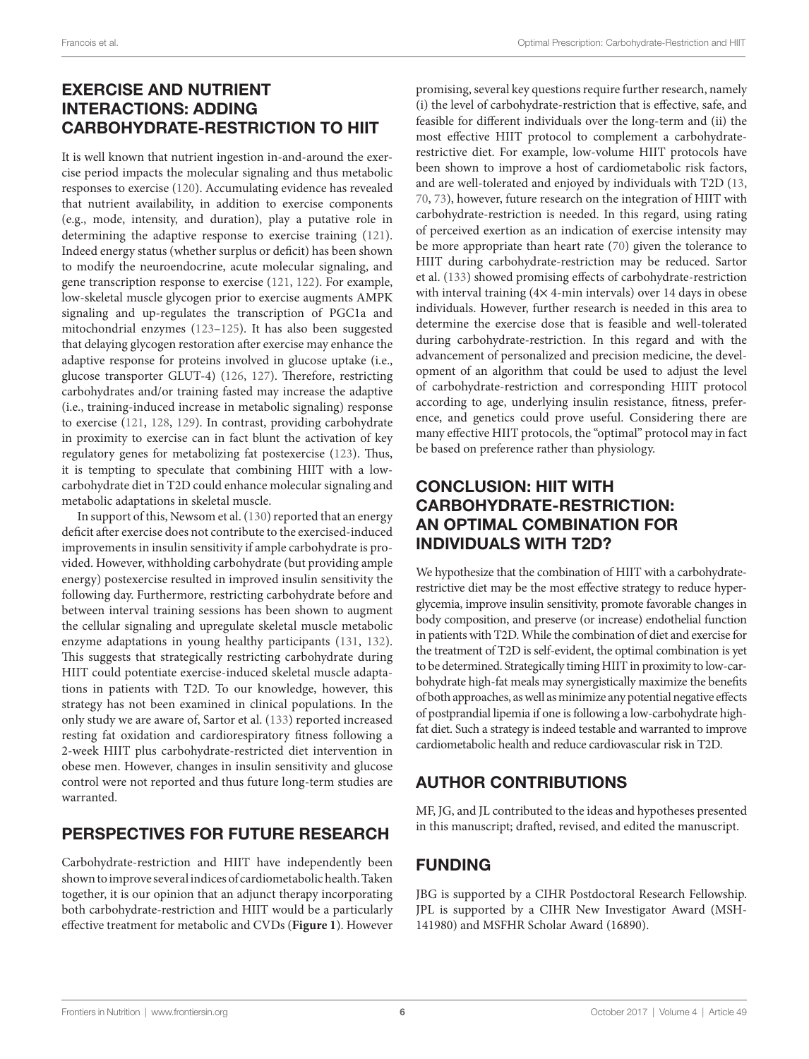### EXERCISE AND NUTRIENT INTERACTIONS: ADDING CARBOHYDRATE-RESTRICTION TO HIIT

It is well known that nutrient ingestion in-and-around the exercise period impacts the molecular signaling and thus metabolic responses to exercise ([120\)](#page-9-8). Accumulating evidence has revealed that nutrient availability, in addition to exercise components (e.g., mode, intensity, and duration), play a putative role in determining the adaptive response to exercise training ([121\)](#page-9-9). Indeed energy status (whether surplus or deficit) has been shown to modify the neuroendocrine, acute molecular signaling, and gene transcription response to exercise ([121](#page-9-9), [122\)](#page-9-10). For example, low-skeletal muscle glycogen prior to exercise augments AMPK signaling and up-regulates the transcription of PGC1a and mitochondrial enzymes ([123–](#page-9-11)[125](#page-9-12)). It has also been suggested that delaying glycogen restoration after exercise may enhance the adaptive response for proteins involved in glucose uptake (i.e., glucose transporter GLUT-4) ([126](#page-9-13), [127\)](#page-9-14). Therefore, restricting carbohydrates and/or training fasted may increase the adaptive (i.e., training-induced increase in metabolic signaling) response to exercise [\(121,](#page-9-9) [128,](#page-9-15) [129\)](#page-9-16). In contrast, providing carbohydrate in proximity to exercise can in fact blunt the activation of key regulatory genes for metabolizing fat postexercise ([123\)](#page-9-11). Thus, it is tempting to speculate that combining HIIT with a lowcarbohydrate diet in T2D could enhance molecular signaling and metabolic adaptations in skeletal muscle.

In support of this, Newsom et al. ([130](#page-9-17)) reported that an energy deficit after exercise does not contribute to the exercised-induced improvements in insulin sensitivity if ample carbohydrate is provided. However, withholding carbohydrate (but providing ample energy) postexercise resulted in improved insulin sensitivity the following day. Furthermore, restricting carbohydrate before and between interval training sessions has been shown to augment the cellular signaling and upregulate skeletal muscle metabolic enzyme adaptations in young healthy participants [\(131,](#page-9-18) [132\)](#page-9-19). This suggests that strategically restricting carbohydrate during HIIT could potentiate exercise-induced skeletal muscle adaptations in patients with T2D. To our knowledge, however, this strategy has not been examined in clinical populations. In the only study we are aware of, Sartor et al. ([133](#page-9-20)) reported increased resting fat oxidation and cardiorespiratory fitness following a 2-week HIIT plus carbohydrate-restricted diet intervention in obese men. However, changes in insulin sensitivity and glucose control were not reported and thus future long-term studies are warranted.

# PERSPECTIVES FOR FUTURE RESEARCH

Carbohydrate-restriction and HIIT have independently been shown to improve several indices of cardiometabolic health. Taken together, it is our opinion that an adjunct therapy incorporating both carbohydrate-restriction and HIIT would be a particularly effective treatment for metabolic and CVDs (**[Figure 1](#page-3-0)**). However

promising, several key questions require further research, namely (i) the level of carbohydrate-restriction that is effective, safe, and feasible for different individuals over the long-term and (ii) the most effective HIIT protocol to complement a carbohydraterestrictive diet. For example, low-volume HIIT protocols have been shown to improve a host of cardiometabolic risk factors, and are well-tolerated and enjoyed by individuals with T2D ([13,](#page-6-12) [70](#page-7-29), [73\)](#page-7-32), however, future research on the integration of HIIT with carbohydrate-restriction is needed. In this regard, using rating of perceived exertion as an indication of exercise intensity may be more appropriate than heart rate ([70\)](#page-7-29) given the tolerance to HIIT during carbohydrate-restriction may be reduced. Sartor et al. ([133](#page-9-20)) showed promising effects of carbohydrate-restriction with interval training  $(4 \times 4$ -min intervals) over 14 days in obese individuals. However, further research is needed in this area to determine the exercise dose that is feasible and well-tolerated during carbohydrate-restriction. In this regard and with the advancement of personalized and precision medicine, the development of an algorithm that could be used to adjust the level of carbohydrate-restriction and corresponding HIIT protocol according to age, underlying insulin resistance, fitness, preference, and genetics could prove useful. Considering there are many effective HIIT protocols, the "optimal" protocol may in fact be based on preference rather than physiology.

### CONCLUSION: HIIT WITH CARBOHYDRATE-RESTRICTION: AN OPTIMAL COMBINATION FOR INDIVIDUALS WITH T2D?

We hypothesize that the combination of HIIT with a carbohydraterestrictive diet may be the most effective strategy to reduce hyperglycemia, improve insulin sensitivity, promote favorable changes in body composition, and preserve (or increase) endothelial function in patients with T2D. While the combination of diet and exercise for the treatment of T2D is self-evident, the optimal combination is yet to be determined. Strategically timing HIIT in proximity to low-carbohydrate high-fat meals may synergistically maximize the benefits of both approaches, as well as minimize any potential negative effects of postprandial lipemia if one is following a low-carbohydrate highfat diet. Such a strategy is indeed testable and warranted to improve cardiometabolic health and reduce cardiovascular risk in T2D.

# AUTHOR CONTRIBUTIONS

MF, JG, and JL contributed to the ideas and hypotheses presented in this manuscript; drafted, revised, and edited the manuscript.

# **FUNDING**

JBG is supported by a CIHR Postdoctoral Research Fellowship. JPL is supported by a CIHR New Investigator Award (MSH-141980) and MSFHR Scholar Award (16890).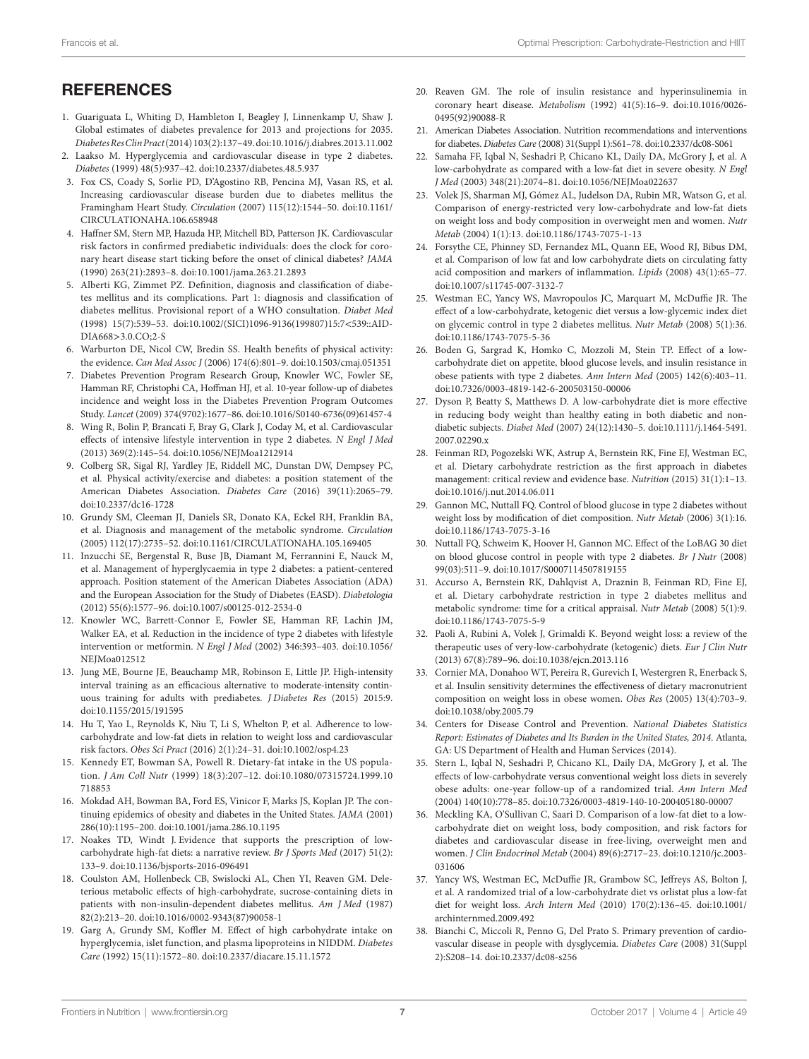#### **REFERENCES**

- <span id="page-6-0"></span>1. Guariguata L, Whiting D, Hambleton I, Beagley J, Linnenkamp U, Shaw J. Global estimates of diabetes prevalence for 2013 and projections for 2035. *Diabetes Res Clin Pract* (2014) 103(2):137–49. doi:[10.1016/j.diabres.2013.11.002](https://doi.org/10.1016/j.diabres.2013.
11.002)
- <span id="page-6-1"></span>2. Laakso M. Hyperglycemia and cardiovascular disease in type 2 diabetes. *Diabetes* (1999) 48(5):937–42. doi:[10.2337/diabetes.48.5.937](https://doi.org/10.2337/diabetes.48.5.937)
- <span id="page-6-2"></span>3. Fox CS, Coady S, Sorlie PD, D'Agostino RB, Pencina MJ, Vasan RS, et al. Increasing cardiovascular disease burden due to diabetes mellitus the Framingham Heart Study. *Circulation* (2007) 115(12):1544–50. doi[:10.1161/](https://doi.org/10.1161/CIRCULATIONAHA.106.658948) [CIRCULATIONAHA.106.658948](https://doi.org/10.1161/CIRCULATIONAHA.106.658948)
- <span id="page-6-3"></span>4. Haffner SM, Stern MP, Hazuda HP, Mitchell BD, Patterson JK. Cardiovascular risk factors in confirmed prediabetic individuals: does the clock for coronary heart disease start ticking before the onset of clinical diabetes? *JAMA* (1990) 263(21):2893–8. doi:[10.1001/jama.263.21.2893](https://doi.org/10.1001/jama.263.21.2893)
- <span id="page-6-4"></span>5. Alberti KG, Zimmet PZ. Definition, diagnosis and classification of diabetes mellitus and its complications. Part 1: diagnosis and classification of diabetes mellitus. Provisional report of a WHO consultation. *Diabet Med* (1998) 15(7):539–53. doi:[10.1002/\(SICI\)1096-9136\(199807\)15:7](https://doi.org/10.1002/(SICI)1096-9136(199807)15:7 < 539::AID-
DIA668 > 3.0.CO;2-S)<539::AID-DIA668>[3.0.CO;2-S](https://doi.org/10.1002/(SICI)1096-9136(199807)15:7 < 539::AID-
DIA668 > 3.0.CO;2-S)
- <span id="page-6-5"></span>6. Warburton DE, Nicol CW, Bredin SS. Health benefits of physical activity: the evidence. *Can Med Assoc J* (2006) 174(6):801–9. doi[:10.1503/cmaj.051351](https://doi.org/10.1503/cmaj.051351)
- <span id="page-6-6"></span>7. Diabetes Prevention Program Research Group, Knowler WC, Fowler SE, Hamman RF, Christophi CA, Hoffman HJ, et al. 10-year follow-up of diabetes incidence and weight loss in the Diabetes Prevention Program Outcomes Study. *Lancet* (2009) 374(9702):1677–86. doi[:10.1016/S0140-6736\(09\)61457-4](https://doi.org/10.1016/S0140-6736(09)61457-4)
- <span id="page-6-11"></span>8. Wing R, Bolin P, Brancati F, Bray G, Clark J, Coday M, et al. Cardiovascular effects of intensive lifestyle intervention in type 2 diabetes. *N Engl J Med* (2013) 369(2):145–54. doi:[10.1056/NEJMoa1212914](https://doi.org/10.1056/NEJMoa1212914)
- <span id="page-6-7"></span>9. Colberg SR, Sigal RJ, Yardley JE, Riddell MC, Dunstan DW, Dempsey PC, et al. Physical activity/exercise and diabetes: a position statement of the American Diabetes Association. *Diabetes Care* (2016) 39(11):2065–79. doi:[10.2337/dc16-1728](https://doi.org/10.2337/dc16-1728)
- <span id="page-6-8"></span>10. Grundy SM, Cleeman JI, Daniels SR, Donato KA, Eckel RH, Franklin BA, et al. Diagnosis and management of the metabolic syndrome. *Circulation* (2005) 112(17):2735–52. doi[:10.1161/CIRCULATIONAHA.105.169405](https://doi.org/10.1161/CIRCULATIONAHA.105.169405)
- <span id="page-6-9"></span>11. Inzucchi SE, Bergenstal R, Buse JB, Diamant M, Ferrannini E, Nauck M, et al. Management of hyperglycaemia in type 2 diabetes: a patient-centered approach. Position statement of the American Diabetes Association (ADA) and the European Association for the Study of Diabetes (EASD). *Diabetologia* (2012) 55(6):1577–96. doi:[10.1007/s00125-012-2534-0](https://doi.org/10.1007/s00125-012-2534-0)
- <span id="page-6-10"></span>12. Knowler WC, Barrett-Connor E, Fowler SE, Hamman RF, Lachin JM, Walker EA, et al. Reduction in the incidence of type 2 diabetes with lifestyle intervention or metformin. *N Engl J Med* (2002) 346:393–403. doi[:10.1056/](https://doi.org/10.1056/NEJMoa012512) NEIMoa012512
- <span id="page-6-12"></span>13. Jung ME, Bourne JE, Beauchamp MR, Robinson E, Little JP. High-intensity interval training as an efficacious alternative to moderate-intensity continuous training for adults with prediabetes. *J Diabetes Res* (2015) 2015:9. doi:[10.1155/2015/191595](https://doi.org/10.1155/2015/191595)
- <span id="page-6-13"></span>14. Hu T, Yao L, Reynolds K, Niu T, Li S, Whelton P, et al. Adherence to lowcarbohydrate and low-fat diets in relation to weight loss and cardiovascular risk factors. *Obes Sci Pract* (2016) 2(1):24–31. doi[:10.1002/osp4.23](https://doi.org/10.1002/osp4.23)
- <span id="page-6-14"></span>15. Kennedy ET, Bowman SA, Powell R. Dietary-fat intake in the US population. *J Am Coll Nutr* (1999) 18(3):207–12. doi:[10.1080/07315724.1999.10](https://doi.org/10.1080/07315724.1999.10718853) [718853](https://doi.org/10.1080/07315724.1999.10718853)
- <span id="page-6-15"></span>16. Mokdad AH, Bowman BA, Ford ES, Vinicor F, Marks JS, Koplan JP. The continuing epidemics of obesity and diabetes in the United States. *JAMA* (2001) 286(10):1195–200. doi[:10.1001/jama.286.10.1195](https://doi.org/10.1001/jama.286.10.1195)
- <span id="page-6-16"></span>17. Noakes TD, Windt J. Evidence that supports the prescription of lowcarbohydrate high-fat diets: a narrative review. *Br J Sports Med* (2017) 51(2): 133–9. doi[:10.1136/bjsports-2016-096491](https://doi.org/10.1136/bjsports-2016-096491)
- <span id="page-6-17"></span>18. Coulston AM, Hollenbeck CB, Swislocki AL, Chen YI, Reaven GM. Deleterious metabolic effects of high-carbohydrate, sucrose-containing diets in patients with non-insulin-dependent diabetes mellitus. *Am J Med* (1987) 82(2):213–20. doi:[10.1016/0002-9343\(87\)90058-1](https://doi.org/10.1016/0002-9343(87)90058-1)
- 19. Garg A, Grundy SM, Koffler M. Effect of high carbohydrate intake on hyperglycemia, islet function, and plasma lipoproteins in NIDDM. *Diabetes Care* (1992) 15(11):1572–80. doi[:10.2337/diacare.15.11.1572](https://doi.org/10.2337/diacare.15.11.1572)
- <span id="page-6-18"></span>20. Reaven GM. The role of insulin resistance and hyperinsulinemia in coronary heart disease. *Metabolism* (1992) 41(5):16–9. doi[:10.1016/0026-](https://doi.org/10.1016/0026-
0495(92)90088-R) [0495\(92\)90088-R](https://doi.org/10.1016/0026-
0495(92)90088-R)
- <span id="page-6-19"></span>21. American Diabetes Association. Nutrition recommendations and interventions for diabetes. *Diabetes Care* (2008) 31(Suppl 1):S61–78. doi[:10.2337/dc08-S061](https://doi.org/10.2337/dc08-S061)
- <span id="page-6-20"></span>22. Samaha FF, Iqbal N, Seshadri P, Chicano KL, Daily DA, McGrory J, et al. A low-carbohydrate as compared with a low-fat diet in severe obesity. *N Engl J Med* (2003) 348(21):2074–81. doi:[10.1056/NEJMoa022637](https://doi.org/10.1056/NEJMoa022637)
- <span id="page-6-21"></span>23. Volek JS, Sharman MJ, Gómez AL, Judelson DA, Rubin MR, Watson G, et al. Comparison of energy-restricted very low-carbohydrate and low-fat diets on weight loss and body composition in overweight men and women. *Nutr Metab* (2004) 1(1):13. doi:[10.1186/1743-7075-1-13](https://doi.org/10.1186/1743-7075-1-13)
- <span id="page-6-22"></span>24. Forsythe CE, Phinney SD, Fernandez ML, Quann EE, Wood RJ, Bibus DM, et al. Comparison of low fat and low carbohydrate diets on circulating fatty acid composition and markers of inflammation. *Lipids* (2008) 43(1):65–77. doi:[10.1007/s11745-007-3132-7](https://doi.org/10.1007/s11745-007-3132-7)
- <span id="page-6-23"></span>25. Westman EC, Yancy WS, Mavropoulos JC, Marquart M, McDuffie JR. The effect of a low-carbohydrate, ketogenic diet versus a low-glycemic index diet on glycemic control in type 2 diabetes mellitus. *Nutr Metab* (2008) 5(1):36. doi:[10.1186/1743-7075-5-36](https://doi.org/10.1186/1743-7075-5-36)
- <span id="page-6-24"></span>26. Boden G, Sargrad K, Homko C, Mozzoli M, Stein TP. Effect of a lowcarbohydrate diet on appetite, blood glucose levels, and insulin resistance in obese patients with type 2 diabetes. *Ann Intern Med* (2005) 142(6):403–11. doi:[10.7326/0003-4819-142-6-200503150-00006](https://doi.org/10.7326/0003-4819-142-6-200503150-00006)
- <span id="page-6-32"></span>27. Dyson P, Beatty S, Matthews D. A low-carbohydrate diet is more effective in reducing body weight than healthy eating in both diabetic and nondiabetic subjects. *Diabet Med* (2007) 24(12):1430–5. doi[:10.1111/j.1464-5491.](https://doi.org/10.1111/j.1464-5491.
2007.02290.x) [2007.02290.x](https://doi.org/10.1111/j.1464-5491.
2007.02290.x)
- <span id="page-6-25"></span>28. Feinman RD, Pogozelski WK, Astrup A, Bernstein RK, Fine EJ, Westman EC, et al. Dietary carbohydrate restriction as the first approach in diabetes management: critical review and evidence base. *Nutrition* (2015) 31(1):1–13. doi:[10.1016/j.nut.2014.06.011](https://doi.org/10.1016/j.nut.2014.06.011)
- <span id="page-6-26"></span>29. Gannon MC, Nuttall FQ. Control of blood glucose in type 2 diabetes without weight loss by modification of diet composition. *Nutr Metab* (2006) 3(1):16. doi:[10.1186/1743-7075-3-16](https://doi.org/10.1186/1743-7075-3-16)
- <span id="page-6-27"></span>30. Nuttall FQ, Schweim K, Hoover H, Gannon MC. Effect of the LoBAG 30 diet on blood glucose control in people with type 2 diabetes. *Br J Nutr* (2008) 99(03):511–9. doi:[10.1017/S0007114507819155](https://doi.org/10.1017/S0007114507819155)
- <span id="page-6-28"></span>31. Accurso A, Bernstein RK, Dahlqvist A, Draznin B, Feinman RD, Fine EJ, et al. Dietary carbohydrate restriction in type 2 diabetes mellitus and metabolic syndrome: time for a critical appraisal. *Nutr Metab* (2008) 5(1):9. doi:[10.1186/1743-7075-5-9](https://doi.org/10.1186/1743-7075-5-9)
- <span id="page-6-29"></span>32. Paoli A, Rubini A, Volek J, Grimaldi K. Beyond weight loss: a review of the therapeutic uses of very-low-carbohydrate (ketogenic) diets. *Eur J Clin Nutr* (2013) 67(8):789–96. doi:[10.1038/ejcn.2013.116](https://doi.org/10.1038/ejcn.2013.116)
- <span id="page-6-30"></span>33. Cornier MA, Donahoo WT, Pereira R, Gurevich I, Westergren R, Enerback S, et al. Insulin sensitivity determines the effectiveness of dietary macronutrient composition on weight loss in obese women. *Obes Res* (2005) 13(4):703–9. doi:[10.1038/oby.2005.79](https://doi.org/10.1038/oby.2005.79)
- <span id="page-6-31"></span>34. Centers for Disease Control and Prevention. *National Diabetes Statistics Report: Estimates of Diabetes and Its Burden in the United States, 2014*. Atlanta, GA: US Department of Health and Human Services (2014).
- <span id="page-6-33"></span>35. Stern L, Iqbal N, Seshadri P, Chicano KL, Daily DA, McGrory J, et al. The effects of low-carbohydrate versus conventional weight loss diets in severely obese adults: one-year follow-up of a randomized trial. *Ann Intern Med* (2004) 140(10):778–85. doi[:10.7326/0003-4819-140-10-200405180-00007](https://doi.org/10.7326/0003-4819-140-10-200405180-00007)
- <span id="page-6-34"></span>36. Meckling KA, O'Sullivan C, Saari D. Comparison of a low-fat diet to a lowcarbohydrate diet on weight loss, body composition, and risk factors for diabetes and cardiovascular disease in free-living, overweight men and women. *J Clin Endocrinol Metab* (2004) 89(6):2717–23. doi:[10.1210/jc.2003-](https://doi.org/10.1210/jc.2003-
031606) [031606](https://doi.org/10.1210/jc.2003-
031606)
- <span id="page-6-35"></span>37. Yancy WS, Westman EC, McDuffie JR, Grambow SC, Jeffreys AS, Bolton J, et al. A randomized trial of a low-carbohydrate diet vs orlistat plus a low-fat diet for weight loss. *Arch Intern Med* (2010) 170(2):136–45. doi[:10.1001/](https://doi.org/10.1001/archinternmed.2009.492) [archinternmed.2009.492](https://doi.org/10.1001/archinternmed.2009.492)
- <span id="page-6-36"></span>38. Bianchi C, Miccoli R, Penno G, Del Prato S. Primary prevention of cardiovascular disease in people with dysglycemia. *Diabetes Care* (2008) 31(Suppl 2):S208–14. doi[:10.2337/dc08-s256](https://doi.org/10.2337/dc08-s256)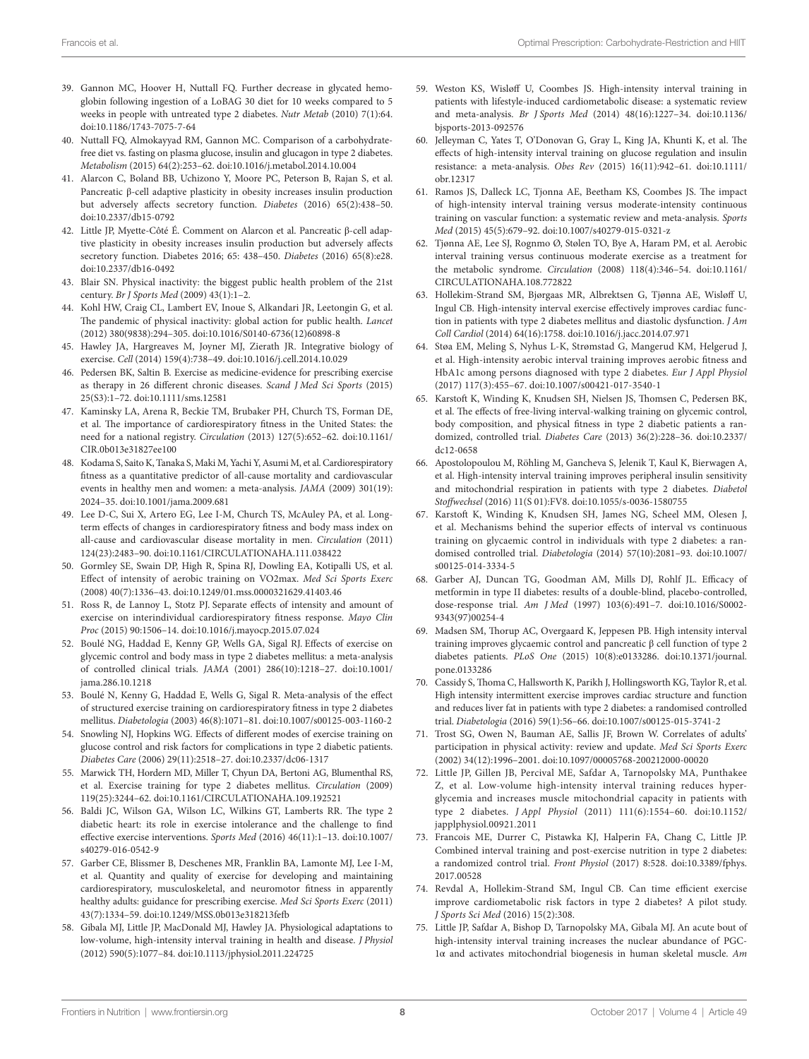- <span id="page-7-0"></span>39. Gannon MC, Hoover H, Nuttall FQ. Further decrease in glycated hemoglobin following ingestion of a LoBAG 30 diet for 10 weeks compared to 5 weeks in people with untreated type 2 diabetes. *Nutr Metab* (2010) 7(1):64. doi:[10.1186/1743-7075-7-64](https://doi.org/10.1186/1743-7075-7-64)
- <span id="page-7-1"></span>40. Nuttall FQ, Almokayyad RM, Gannon MC. Comparison of a carbohydratefree diet vs. fasting on plasma glucose, insulin and glucagon in type 2 diabetes. *Metabolism* (2015) 64(2):253–62. doi[:10.1016/j.metabol.2014.10.004](https://doi.org/10.1016/j.metabol.2014.10.004)
- <span id="page-7-2"></span>41. Alarcon C, Boland BB, Uchizono Y, Moore PC, Peterson B, Rajan S, et al. Pancreatic β-cell adaptive plasticity in obesity increases insulin production but adversely affects secretory function. *Diabetes* (2016) 65(2):438–50. doi:[10.2337/db15-0792](https://doi.org/10.2337/db15-0792)
- <span id="page-7-3"></span>42. Little JP, Myette-Côté É. Comment on Alarcon et al. Pancreatic β-cell adaptive plasticity in obesity increases insulin production but adversely affects secretory function. Diabetes 2016; 65: 438–450. *Diabetes* (2016) 65(8):e28. doi:[10.2337/db16-0492](https://doi.org/10.2337/db16-0492)
- <span id="page-7-4"></span>43. Blair SN. Physical inactivity: the biggest public health problem of the 21st century. *Br J Sports Med* (2009) 43(1):1–2.
- <span id="page-7-5"></span>44. Kohl HW, Craig CL, Lambert EV, Inoue S, Alkandari JR, Leetongin G, et al. The pandemic of physical inactivity: global action for public health. *Lancet* (2012) 380(9838):294–305. doi[:10.1016/S0140-6736\(12\)60898-8](https://doi.org/10.1016/S0140-6736(12)60898-8)
- <span id="page-7-6"></span>45. Hawley JA, Hargreaves M, Joyner MJ, Zierath JR. Integrative biology of exercise. *Cell* (2014) 159(4):738–49. doi:[10.1016/j.cell.2014.10.029](https://doi.org/10.1016/j.cell.2014.10.029)
- <span id="page-7-7"></span>46. Pedersen BK, Saltin B. Exercise as medicine-evidence for prescribing exercise as therapy in 26 different chronic diseases. *Scand J Med Sci Sports* (2015) 25(S3):1–72. doi[:10.1111/sms.12581](https://doi.org/10.1111/sms.12581)
- <span id="page-7-8"></span>47. Kaminsky LA, Arena R, Beckie TM, Brubaker PH, Church TS, Forman DE, et al. The importance of cardiorespiratory fitness in the United States: the need for a national registry. *Circulation* (2013) 127(5):652–62. doi[:10.1161/](https://doi.org/10.1161/CIR.0b013e31827ee100) [CIR.0b013e31827ee100](https://doi.org/10.1161/CIR.0b013e31827ee100)
- <span id="page-7-9"></span>48. Kodama S, Saito K, Tanaka S, Maki M, Yachi Y, Asumi M, et al. Cardiorespiratory fitness as a quantitative predictor of all-cause mortality and cardiovascular events in healthy men and women: a meta-analysis. *JAMA* (2009) 301(19): 2024–35. doi:[10.1001/jama.2009.681](https://doi.org/10.1001/jama.2009.681)
- <span id="page-7-10"></span>49. Lee D-C, Sui X, Artero EG, Lee I-M, Church TS, McAuley PA, et al. Longterm effects of changes in cardiorespiratory fitness and body mass index on all-cause and cardiovascular disease mortality in men. *Circulation* (2011) 124(23):2483–90. doi:[10.1161/CIRCULATIONAHA.111.038422](https://doi.org/10.1161/CIRCULATIONAHA.111.038422)
- <span id="page-7-11"></span>50. Gormley SE, Swain DP, High R, Spina RJ, Dowling EA, Kotipalli US, et al. Effect of intensity of aerobic training on VO2max. *Med Sci Sports Exerc* (2008) 40(7):1336–43. doi:[10.1249/01.mss.0000321629.41403.46](https://doi.org/10.1249/01.mss.0000321629.41403.46)
- <span id="page-7-12"></span>51. Ross R, de Lannoy L, Stotz PJ. Separate effects of intensity and amount of exercise on interindividual cardiorespiratory fitness response. *Mayo Clin Proc* (2015) 90:1506–14. doi:[10.1016/j.mayocp.2015.07.024](https://doi.org/10.1016/j.mayocp.2015.07.024)
- <span id="page-7-13"></span>52. Boulé NG, Haddad E, Kenny GP, Wells GA, Sigal RJ. Effects of exercise on glycemic control and body mass in type 2 diabetes mellitus: a meta-analysis of controlled clinical trials. *JAMA* (2001) 286(10):1218–27. doi[:10.1001/](https://doi.org/10.1001/jama.286.10.1218) [jama.286.10.1218](https://doi.org/10.1001/jama.286.10.1218)
- 53. Boulé N, Kenny G, Haddad E, Wells G, Sigal R. Meta-analysis of the effect of structured exercise training on cardiorespiratory fitness in type 2 diabetes mellitus. *Diabetologia* (2003) 46(8):1071–81. doi[:10.1007/s00125-003-1160-2](https://doi.org/10.1007/s00125-003-1160-2)
- 54. Snowling NJ, Hopkins WG. Effects of different modes of exercise training on glucose control and risk factors for complications in type 2 diabetic patients. *Diabetes Care* (2006) 29(11):2518–27. doi:[10.2337/dc06-1317](https://doi.org/10.2337/dc06-1317)
- <span id="page-7-14"></span>55. Marwick TH, Hordern MD, Miller T, Chyun DA, Bertoni AG, Blumenthal RS, et al. Exercise training for type 2 diabetes mellitus. *Circulation* (2009) 119(25):3244–62. doi:[10.1161/CIRCULATIONAHA.109.192521](https://doi.org/10.1161/CIRCULATIONAHA.109.192521)
- <span id="page-7-15"></span>56. Baldi JC, Wilson GA, Wilson LC, Wilkins GT, Lamberts RR. The type 2 diabetic heart: its role in exercise intolerance and the challenge to find effective exercise interventions. *Sports Med* (2016) 46(11):1–13. doi[:10.1007/](https://doi.org/10.1007/s40279-016-0542-9) [s40279-016-0542-9](https://doi.org/10.1007/s40279-016-0542-9)
- <span id="page-7-16"></span>57. Garber CE, Blissmer B, Deschenes MR, Franklin BA, Lamonte MJ, Lee I-M, et al. Quantity and quality of exercise for developing and maintaining cardiorespiratory, musculoskeletal, and neuromotor fitness in apparently healthy adults: guidance for prescribing exercise. *Med Sci Sports Exerc* (2011) 43(7):1334–59. doi[:10.1249/MSS.0b013e318213fefb](https://doi.org/10.1249/MSS.0b013e318213fefb)
- <span id="page-7-17"></span>58. Gibala MJ, Little JP, MacDonald MJ, Hawley JA. Physiological adaptations to low-volume, high-intensity interval training in health and disease. *J Physiol* (2012) 590(5):1077–84. doi[:10.1113/jphysiol.2011.224725](https://doi.org/10.1113/jphysiol.2011.224725)
- <span id="page-7-18"></span>59. Weston KS, Wisløff U, Coombes JS. High-intensity interval training in patients with lifestyle-induced cardiometabolic disease: a systematic review and meta-analysis. *Br J Sports Med* (2014) 48(16):1227–34. doi[:10.1136/](https://doi.org/10.1136/bjsports-2013-092576) [bjsports-2013-092576](https://doi.org/10.1136/bjsports-2013-092576)
- <span id="page-7-26"></span>60. Jelleyman C, Yates T, O'Donovan G, Gray L, King JA, Khunti K, et al. The effects of high-intensity interval training on glucose regulation and insulin resistance: a meta-analysis. *Obes Rev* (2015) 16(11):942–61. doi[:10.1111/](https://doi.org/10.1111/obr.12317) [obr.12317](https://doi.org/10.1111/obr.12317)
- <span id="page-7-19"></span>61. Ramos JS, Dalleck LC, Tjonna AE, Beetham KS, Coombes JS. The impact of high-intensity interval training versus moderate-intensity continuous training on vascular function: a systematic review and meta-analysis. *Sports Med* (2015) 45(5):679–92. doi:[10.1007/s40279-015-0321-z](https://doi.org/10.1007/s40279-015-0321-z)
- <span id="page-7-20"></span>62. Tjønna AE, Lee SJ, Rognmo Ø, Stølen TO, Bye A, Haram PM, et al. Aerobic interval training versus continuous moderate exercise as a treatment for the metabolic syndrome. *Circulation* (2008) 118(4):346–54. doi[:10.1161/](https://doi.org/10.1161/CIRCULATIONAHA.108.772822) [CIRCULATIONAHA.108.772822](https://doi.org/10.1161/CIRCULATIONAHA.108.772822)
- <span id="page-7-21"></span>63. Hollekim-Strand SM, Bjørgaas MR, Albrektsen G, Tjønna AE, Wisløff U, Ingul CB. High-intensity interval exercise effectively improves cardiac function in patients with type 2 diabetes mellitus and diastolic dysfunction. *J Am Coll Cardiol* (2014) 64(16):1758. doi[:10.1016/j.jacc.2014.07.971](https://doi.org/10.1016/j.jacc.2014.07.971)
- <span id="page-7-22"></span>64. Støa EM, Meling S, Nyhus L-K, Strømstad G, Mangerud KM, Helgerud J, et al. High-intensity aerobic interval training improves aerobic fitness and HbA1c among persons diagnosed with type 2 diabetes. *Eur J Appl Physiol* (2017) 117(3):455–67. doi[:10.1007/s00421-017-3540-1](https://doi.org/10.1007/s00421-017-3540-1)
- <span id="page-7-24"></span>65. Karstoft K, Winding K, Knudsen SH, Nielsen JS, Thomsen C, Pedersen BK, et al. The effects of free-living interval-walking training on glycemic control, body composition, and physical fitness in type 2 diabetic patients a randomized, controlled trial. *Diabetes Care* (2013) 36(2):228–36. doi[:10.2337/](https://doi.org/10.2337/dc12-0658) [dc12-0658](https://doi.org/10.2337/dc12-0658)
- <span id="page-7-23"></span>66. Apostolopoulou M, Röhling M, Gancheva S, Jelenik T, Kaul K, Bierwagen A, et al. High-intensity interval training improves peripheral insulin sensitivity and mitochondrial respiration in patients with type 2 diabetes. *Diabetol Stoffwechsel* (2016) 11(S 01):FV8. doi[:10.1055/s-0036-1580755](https://doi.org/10.1055/s-0036-1580755)
- <span id="page-7-25"></span>67. Karstoft K, Winding K, Knudsen SH, James NG, Scheel MM, Olesen J, et al. Mechanisms behind the superior effects of interval vs continuous training on glycaemic control in individuals with type 2 diabetes: a randomised controlled trial. *Diabetologia* (2014) 57(10):2081–93. doi[:10.1007/](https://doi.org/10.1007/s00125-014-3334-5) [s00125-014-3334-5](https://doi.org/10.1007/s00125-014-3334-5)
- <span id="page-7-27"></span>68. Garber AJ, Duncan TG, Goodman AM, Mills DJ, Rohlf JL. Efficacy of metformin in type II diabetes: results of a double-blind, placebo-controlled, dose-response trial. *Am J Med* (1997) 103(6):491–7. doi:[10.1016/S0002-](https://doi.org/10.1016/S0002-
9343(97)00254-4) [9343\(97\)00254-4](https://doi.org/10.1016/S0002-
9343(97)00254-4)
- <span id="page-7-28"></span>69. Madsen SM, Thorup AC, Overgaard K, Jeppesen PB. High intensity interval training improves glycaemic control and pancreatic β cell function of type 2 diabetes patients. *PLoS One* (2015) 10(8):e0133286. doi:[10.1371/journal.](https://doi.org/10.1371/journal.pone.0133286) [pone.0133286](https://doi.org/10.1371/journal.pone.0133286)
- <span id="page-7-29"></span>70. Cassidy S, Thoma C, Hallsworth K, Parikh J, Hollingsworth KG, Taylor R, et al. High intensity intermittent exercise improves cardiac structure and function and reduces liver fat in patients with type 2 diabetes: a randomised controlled trial. *Diabetologia* (2016) 59(1):56–66. doi[:10.1007/s00125-015-3741-2](https://doi.org/10.1007/s00125-015-3741-2)
- <span id="page-7-30"></span>71. Trost SG, Owen N, Bauman AE, Sallis JF, Brown W. Correlates of adults' participation in physical activity: review and update. *Med Sci Sports Exerc* (2002) 34(12):1996–2001. doi:[10.1097/00005768-200212000-00020](https://doi.org/10.1097/00005768-200212000-00020)
- <span id="page-7-31"></span>72. Little JP, Gillen JB, Percival ME, Safdar A, Tarnopolsky MA, Punthakee Z, et al. Low-volume high-intensity interval training reduces hyperglycemia and increases muscle mitochondrial capacity in patients with type 2 diabetes. *J Appl Physiol* (2011) 111(6):1554–60. doi:[10.1152/](https://doi.org/10.1152/japplphysiol.00921.2011) [japplphysiol.00921.2011](https://doi.org/10.1152/japplphysiol.00921.2011)
- <span id="page-7-32"></span>73. Francois ME, Durrer C, Pistawka KJ, Halperin FA, Chang C, Little JP. Combined interval training and post-exercise nutrition in type 2 diabetes: a randomized control trial. *Front Physiol* (2017) 8:528. doi:[10.3389/fphys.](https://doi.org/10.3389/fphys.
2017.00528) [2017.00528](https://doi.org/10.3389/fphys.
2017.00528)
- <span id="page-7-33"></span>74. Revdal A, Hollekim-Strand SM, Ingul CB. Can time efficient exercise improve cardiometabolic risk factors in type 2 diabetes? A pilot study. *J Sports Sci Med* (2016) 15(2):308.
- <span id="page-7-34"></span>75. Little JP, Safdar A, Bishop D, Tarnopolsky MA, Gibala MJ. An acute bout of high-intensity interval training increases the nuclear abundance of PGC-1α and activates mitochondrial biogenesis in human skeletal muscle. *Am*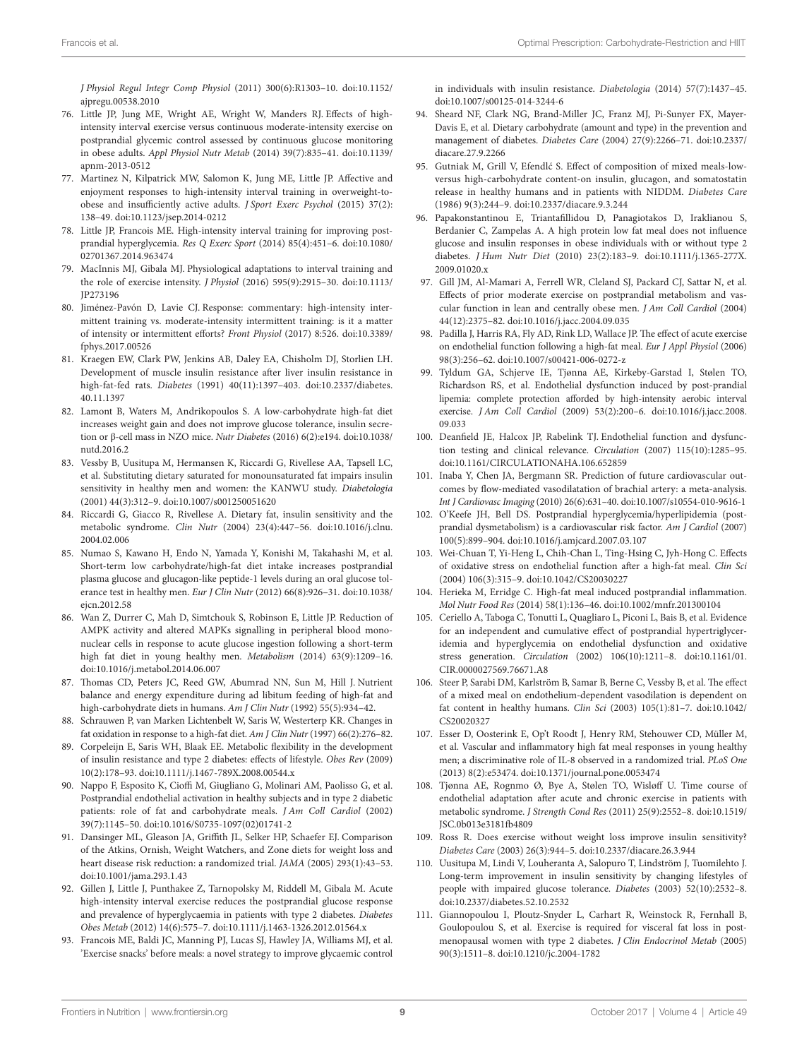<span id="page-8-0"></span>*J Physiol Regul Integr Comp Physiol* (2011) 300(6):R1303–10. doi[:10.1152/](https://doi.org/10.1152/ajpregu.00538.2010) [ajpregu.00538.2010](https://doi.org/10.1152/ajpregu.00538.2010)

- 76. Little JP, Jung ME, Wright AE, Wright W, Manders RJ. Effects of highintensity interval exercise versus continuous moderate-intensity exercise on postprandial glycemic control assessed by continuous glucose monitoring in obese adults. *Appl Physiol Nutr Metab* (2014) 39(7):835–41. doi[:10.1139/](https://doi.org/10.1139/apnm-2013-0512) [apnm-2013-0512](https://doi.org/10.1139/apnm-2013-0512)
- <span id="page-8-1"></span>77. Martinez N, Kilpatrick MW, Salomon K, Jung ME, Little JP. Affective and enjoyment responses to high-intensity interval training in overweight-toobese and insufficiently active adults. *J Sport Exerc Psychol* (2015) 37(2): 138–49. doi[:10.1123/jsep.2014-0212](https://doi.org/10.1123/jsep.2014-0212)
- <span id="page-8-2"></span>78. Little JP, Francois ME. High-intensity interval training for improving postprandial hyperglycemia. *Res Q Exerc Sport* (2014) 85(4):451–6. doi[:10.1080/](https://doi.org/10.1080/
02701367.2014.963474) [02701367.2014.963474](https://doi.org/10.1080/
02701367.2014.963474)
- <span id="page-8-3"></span>79. MacInnis MJ, Gibala MJ. Physiological adaptations to interval training and the role of exercise intensity. *J Physiol* (2016) 595(9):2915–30. doi[:10.1113/](https://doi.org/10.1113/JP273196) [JP273196](https://doi.org/10.1113/JP273196)
- <span id="page-8-4"></span>80. Jiménez-Pavón D, Lavie CJ. Response: commentary: high-intensity intermittent training vs. moderate-intensity intermittent training: is it a matter of intensity or intermittent efforts? *Front Physiol* (2017) 8:526. doi[:10.3389/](https://doi.org/10.3389/fphys.2017.00526) [fphys.2017.00526](https://doi.org/10.3389/fphys.2017.00526)
- <span id="page-8-5"></span>81. Kraegen EW, Clark PW, Jenkins AB, Daley EA, Chisholm DJ, Storlien LH. Development of muscle insulin resistance after liver insulin resistance in high-fat-fed rats. *Diabetes* (1991) 40(11):1397–403. doi:[10.2337/diabetes.](https://doi.org/10.2337/diabetes.
40.11.1397) [40.11.1397](https://doi.org/10.2337/diabetes.
40.11.1397)
- <span id="page-8-6"></span>82. Lamont B, Waters M, Andrikopoulos S. A low-carbohydrate high-fat diet increases weight gain and does not improve glucose tolerance, insulin secretion or β-cell mass in NZO mice. *Nutr Diabetes* (2016) 6(2):e194. doi:[10.1038/](https://doi.org/10.1038/nutd.2016.2) nutd.2016.2
- <span id="page-8-7"></span>83. Vessby B, Uusitupa M, Hermansen K, Riccardi G, Rivellese AA, Tapsell LC, et al. Substituting dietary saturated for monounsaturated fat impairs insulin sensitivity in healthy men and women: the KANWU study. *Diabetologia* (2001) 44(3):312–9. doi[:10.1007/s001250051620](https://doi.org/10.1007/s001250051620)
- <span id="page-8-8"></span>84. Riccardi G, Giacco R, Rivellese A. Dietary fat, insulin sensitivity and the metabolic syndrome. *Clin Nutr* (2004) 23(4):447–56. doi[:10.1016/j.clnu.](https://doi.org/10.1016/j.clnu.
2004.02.006) [2004.02.006](https://doi.org/10.1016/j.clnu.
2004.02.006)
- <span id="page-8-9"></span>85. Numao S, Kawano H, Endo N, Yamada Y, Konishi M, Takahashi M, et al. Short-term low carbohydrate/high-fat diet intake increases postprandial plasma glucose and glucagon-like peptide-1 levels during an oral glucose tolerance test in healthy men. *Eur J Clin Nutr* (2012) 66(8):926–31. doi:[10.1038/](https://doi.org/10.1038/ejcn.2012.58) [ejcn.2012.58](https://doi.org/10.1038/ejcn.2012.58)
- <span id="page-8-10"></span>86. Wan Z, Durrer C, Mah D, Simtchouk S, Robinson E, Little JP. Reduction of AMPK activity and altered MAPKs signalling in peripheral blood mononuclear cells in response to acute glucose ingestion following a short-term high fat diet in young healthy men. *Metabolism* (2014) 63(9):1209–16. doi:[10.1016/j.metabol.2014.06.007](https://doi.org/10.1016/j.metabol.2014.06.007)
- <span id="page-8-11"></span>87. Thomas CD, Peters JC, Reed GW, Abumrad NN, Sun M, Hill J. Nutrient balance and energy expenditure during ad libitum feeding of high-fat and high-carbohydrate diets in humans. *Am J Clin Nutr* (1992) 55(5):934–42.
- <span id="page-8-12"></span>88. Schrauwen P, van Marken Lichtenbelt W, Saris W, Westerterp KR. Changes in fat oxidation in response to a high-fat diet. *Am J Clin Nutr* (1997) 66(2):276–82.
- <span id="page-8-13"></span>89. Corpeleijn E, Saris WH, Blaak EE. Metabolic flexibility in the development of insulin resistance and type 2 diabetes: effects of lifestyle. *Obes Rev* (2009) 10(2):178–93. doi:[10.1111/j.1467-789X.2008.00544.x](https://doi.org/10.1111/j.1467-789X.2008.00544.x)
- <span id="page-8-14"></span>90. Nappo F, Esposito K, Cioffi M, Giugliano G, Molinari AM, Paolisso G, et al. Postprandial endothelial activation in healthy subjects and in type 2 diabetic patients: role of fat and carbohydrate meals. *J Am Coll Cardiol* (2002) 39(7):1145–50. doi[:10.1016/S0735-1097\(02\)01741-2](https://doi.org/10.1016/S0735-1097(02)01741-2)
- <span id="page-8-15"></span>91. Dansinger ML, Gleason JA, Griffith JL, Selker HP, Schaefer EJ. Comparison of the Atkins, Ornish, Weight Watchers, and Zone diets for weight loss and heart disease risk reduction: a randomized trial. *JAMA* (2005) 293(1):43–53. doi:[10.1001/jama.293.1.43](https://doi.org/10.1001/jama.293.1.43)
- <span id="page-8-16"></span>92. Gillen J, Little J, Punthakee Z, Tarnopolsky M, Riddell M, Gibala M. Acute high-intensity interval exercise reduces the postprandial glucose response and prevalence of hyperglycaemia in patients with type 2 diabetes. *Diabetes Obes Metab* (2012) 14(6):575–7. doi:[10.1111/j.1463-1326.2012.01564.x](https://doi.org/10.1111/j.1463-1326.2012.01564.x)
- <span id="page-8-17"></span>93. Francois ME, Baldi JC, Manning PJ, Lucas SJ, Hawley JA, Williams MJ, et al. 'Exercise snacks' before meals: a novel strategy to improve glycaemic control

<span id="page-8-18"></span>in individuals with insulin resistance. *Diabetologia* (2014) 57(7):1437–45. doi:[10.1007/s00125-014-3244-6](https://doi.org/10.1007/s00125-014-3244-6) 

- 94. Sheard NF, Clark NG, Brand-Miller JC, Franz MJ, Pi-Sunyer FX, Mayer-Davis E, et al. Dietary carbohydrate (amount and type) in the prevention and management of diabetes. *Diabetes Care* (2004) 27(9):2266–71. doi[:10.2337/](https://doi.org/10.2337/diacare.27.9.2266) [diacare.27.9.2266](https://doi.org/10.2337/diacare.27.9.2266)
- <span id="page-8-19"></span>95. Gutniak M, Grill V, Efendlć S. Effect of composition of mixed meals-lowversus high-carbohydrate content-on insulin, glucagon, and somatostatin release in healthy humans and in patients with NIDDM. *Diabetes Care* (1986) 9(3):244–9. doi[:10.2337/diacare.9.3.244](https://doi.org/10.2337/diacare.9.3.244)
- <span id="page-8-20"></span>96. Papakonstantinou E, Triantafillidou D, Panagiotakos D, Iraklianou S, Berdanier C, Zampelas A. A high protein low fat meal does not influence glucose and insulin responses in obese individuals with or without type 2 diabetes. *J Hum Nutr Diet* (2010) 23(2):183–9. doi[:10.1111/j.1365-277X.](https://doi.org/10.1111/j.1365-277X.
2009.01020.x) 2009.01020 x
- <span id="page-8-21"></span>97. Gill JM, Al-Mamari A, Ferrell WR, Cleland SJ, Packard CJ, Sattar N, et al. Effects of prior moderate exercise on postprandial metabolism and vascular function in lean and centrally obese men. *J Am Coll Cardiol* (2004) 44(12):2375–82. doi:[10.1016/j.jacc.2004.09.035](https://doi.org/10.1016/j.jacc.2004.09.035)
- 98. Padilla J, Harris RA, Fly AD, Rink LD, Wallace JP. The effect of acute exercise on endothelial function following a high-fat meal. *Eur J Appl Physiol* (2006) 98(3):256–62. doi:[10.1007/s00421-006-0272-z](https://doi.org/10.1007/s00421-006-0272-z)
- <span id="page-8-22"></span>99. Tyldum GA, Schjerve IE, Tjønna AE, Kirkeby-Garstad I, Stølen TO, Richardson RS, et al. Endothelial dysfunction induced by post-prandial lipemia: complete protection afforded by high-intensity aerobic interval exercise. *J Am Coll Cardiol* (2009) 53(2):200–6. doi[:10.1016/j.jacc.2008.](https://doi.org/10.1016/j.jacc.2008.09.033) [09.033](https://doi.org/10.1016/j.jacc.2008.09.033)
- <span id="page-8-23"></span>100. Deanfield JE, Halcox JP, Rabelink TJ. Endothelial function and dysfunction testing and clinical relevance. *Circulation* (2007) 115(10):1285–95. doi:[10.1161/CIRCULATIONAHA.106.652859](https://doi.org/10.1161/CIRCULATIONAHA.106.652859)
- <span id="page-8-24"></span>101. Inaba Y, Chen JA, Bergmann SR. Prediction of future cardiovascular outcomes by flow-mediated vasodilatation of brachial artery: a meta-analysis. *Int J Cardiovasc Imaging* (2010) 26(6):631–40. doi[:10.1007/s10554-010-9616-1](https://doi.org/10.1007/s10554-010-9616-1)
- <span id="page-8-25"></span>102. O'Keefe JH, Bell DS. Postprandial hyperglycemia/hyperlipidemia (postprandial dysmetabolism) is a cardiovascular risk factor. *Am J Cardiol* (2007) 100(5):899–904. doi:[10.1016/j.amjcard.2007.03.107](https://doi.org/10.1016/j.amjcard.2007.03.107)
- <span id="page-8-26"></span>103. Wei-Chuan T, Yi-Heng L, Chih-Chan L, Ting-Hsing C, Jyh-Hong C. Effects of oxidative stress on endothelial function after a high-fat meal. *Clin Sci* (2004) 106(3):315–9. doi[:10.1042/CS20030227](https://doi.org/10.1042/CS20030227)
- <span id="page-8-27"></span>104. Herieka M, Erridge C. High-fat meal induced postprandial inflammation. *Mol Nutr Food Res* (2014) 58(1):136–46. doi:[10.1002/mnfr.201300104](https://doi.org/10.1002/mnfr.201300104)
- <span id="page-8-28"></span>105. Ceriello A, Taboga C, Tonutti L, Quagliaro L, Piconi L, Bais B, et al. Evidence for an independent and cumulative effect of postprandial hypertriglyceridemia and hyperglycemia on endothelial dysfunction and oxidative stress generation. *Circulation* (2002) 106(10):1211–8. doi[:10.1161/01.](https://doi.org/10.1161/01.CIR.0000027569.76671.A8) [CIR.0000027569.76671.A8](https://doi.org/10.1161/01.CIR.0000027569.76671.A8)
- 106. Steer P, Sarabi DM, Karlström B, Samar B, Berne C, Vessby B, et al. The effect of a mixed meal on endothelium-dependent vasodilation is dependent on fat content in healthy humans. *Clin Sci* (2003) 105(1):81–7. doi[:10.1042/](https://doi.org/10.1042/CS20020327) [CS20020327](https://doi.org/10.1042/CS20020327)
- <span id="page-8-29"></span>107. Esser D, Oosterink E, Op't Roodt J, Henry RM, Stehouwer CD, Müller M, et al. Vascular and inflammatory high fat meal responses in young healthy men; a discriminative role of IL-8 observed in a randomized trial. *PLoS One* (2013) 8(2):e53474. doi:[10.1371/journal.pone.0053474](https://doi.org/10.1371/journal.pone.0053474)
- <span id="page-8-30"></span>108. Tjønna AE, Rognmo Ø, Bye A, Stølen TO, Wisløff U. Time course of endothelial adaptation after acute and chronic exercise in patients with metabolic syndrome. *J Strength Cond Res* (2011) 25(9):2552–8. doi[:10.1519/](https://doi.org/10.1519/JSC.0b013e3181fb4809) [JSC.0b013e3181fb4809](https://doi.org/10.1519/JSC.0b013e3181fb4809)
- <span id="page-8-31"></span>109. Ross R. Does exercise without weight loss improve insulin sensitivity? *Diabetes Care* (2003) 26(3):944–5. doi:[10.2337/diacare.26.3.944](https://doi.org/10.2337/diacare.26.3.944)
- <span id="page-8-32"></span>110. Uusitupa M, Lindi V, Louheranta A, Salopuro T, Lindström J, Tuomilehto J. Long-term improvement in insulin sensitivity by changing lifestyles of people with impaired glucose tolerance. *Diabetes* (2003) 52(10):2532–8. doi:[10.2337/diabetes.52.10.2532](https://doi.org/10.2337/diabetes.52.10.2532)
- <span id="page-8-33"></span>111. Giannopoulou I, Ploutz-Snyder L, Carhart R, Weinstock R, Fernhall B, Goulopoulou S, et al. Exercise is required for visceral fat loss in postmenopausal women with type 2 diabetes. *J Clin Endocrinol Metab* (2005) 90(3):1511–8. doi:[10.1210/jc.2004-1782](https://doi.org/10.1210/jc.2004-1782)